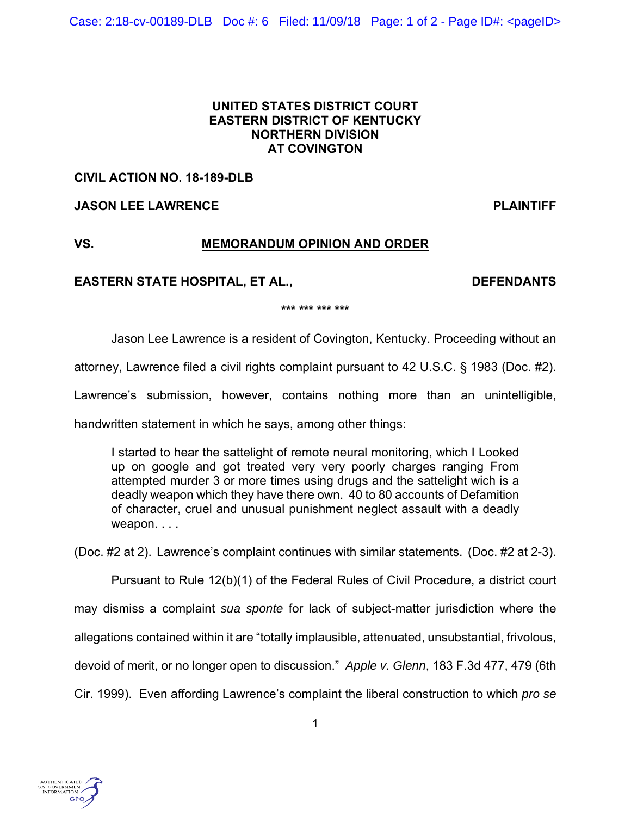### **UNITED STATES DISTRICT COURT EASTERN DISTRICT OF KENTUCKY NORTHERN DIVISION AT COVINGTON**

# **CIVIL ACTION NO. 18-189-DLB**

# **JASON LEE LAWRENCE PLAINTIFF**

# **VS. MEMORANDUM OPINION AND ORDER**

## EASTERN STATE HOSPITAL, ET AL., **DEFENDANTS**

**\*\*\* \*\*\* \*\*\* \*\*\*** 

Jason Lee Lawrence is a resident of Covington, Kentucky. Proceeding without an

attorney, Lawrence filed a civil rights complaint pursuant to 42 U.S.C. § 1983 (Doc. #2).

Lawrence's submission, however, contains nothing more than an unintelligible,

handwritten statement in which he says, among other things:

I started to hear the sattelight of remote neural monitoring, which I Looked up on google and got treated very very poorly charges ranging From attempted murder 3 or more times using drugs and the sattelight wich is a deadly weapon which they have there own. 40 to 80 accounts of Defamition of character, cruel and unusual punishment neglect assault with a deadly weapon....

(Doc. #2 at 2). Lawrence's complaint continues with similar statements. (Doc. #2 at 2-3).

 Pursuant to Rule 12(b)(1) of the Federal Rules of Civil Procedure, a district court may dismiss a complaint *sua sponte* for lack of subject-matter jurisdiction where the allegations contained within it are "totally implausible, attenuated, unsubstantial, frivolous, devoid of merit, or no longer open to discussion." *Apple v. Glenn*, 183 F.3d 477, 479 (6th Cir. 1999). Even affording Lawrence's complaint the liberal construction to which *pro se*